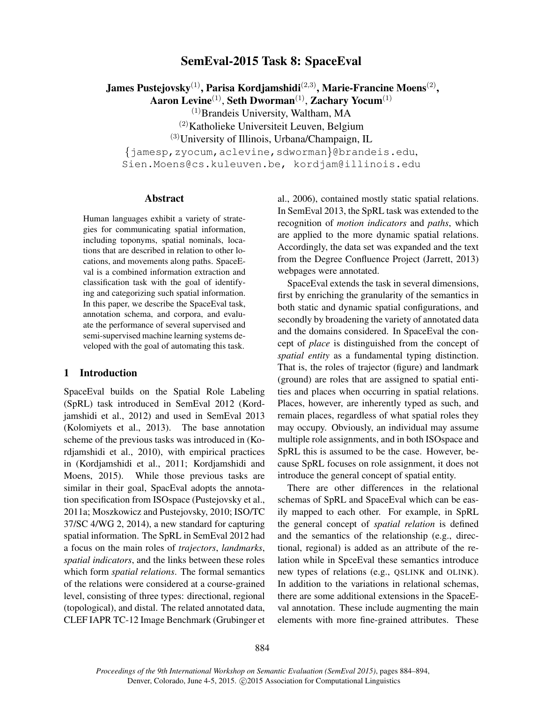# SemEval-2015 Task 8: SpaceEval

James Pustejovsky $^{(1)}$ , Parisa Kordjamshidi $^{(2,3)}$ , Marie-Francine Moens $^{(2)},$ 

Aaron Levine $^{(1)}$ , Seth Dworman $^{(1)}$ , Zachary Yocum $^{(1)}$ 

 $<sup>(1)</sup>$ Brandeis University, Waltham, MA</sup>

 $(2)$ Katholieke Universiteit Leuven, Belgium

(3)University of Illinois, Urbana/Champaign, IL

{jamesp,zyocum,aclevine,sdworman}@brandeis.edu,

Sien.Moens@cs.kuleuven.be, kordjam@illinois.edu

#### Abstract

Human languages exhibit a variety of strategies for communicating spatial information, including toponyms, spatial nominals, locations that are described in relation to other locations, and movements along paths. SpaceEval is a combined information extraction and classification task with the goal of identifying and categorizing such spatial information. In this paper, we describe the SpaceEval task, annotation schema, and corpora, and evaluate the performance of several supervised and semi-supervised machine learning systems developed with the goal of automating this task.

#### 1 Introduction

SpaceEval builds on the Spatial Role Labeling (SpRL) task introduced in SemEval 2012 (Kordjamshidi et al., 2012) and used in SemEval 2013 (Kolomiyets et al., 2013). The base annotation scheme of the previous tasks was introduced in (Kordjamshidi et al., 2010), with empirical practices in (Kordjamshidi et al., 2011; Kordjamshidi and Moens, 2015). While those previous tasks are similar in their goal, SpacEval adopts the annotation specification from ISOspace (Pustejovsky et al., 2011a; Moszkowicz and Pustejovsky, 2010; ISO/TC 37/SC 4/WG 2, 2014), a new standard for capturing spatial information. The SpRL in SemEval 2012 had a focus on the main roles of *trajectors*, *landmarks*, *spatial indicators*, and the links between these roles which form *spatial relations*. The formal semantics of the relations were considered at a course-grained level, consisting of three types: directional, regional (topological), and distal. The related annotated data, CLEF IAPR TC-12 Image Benchmark (Grubinger et al., 2006), contained mostly static spatial relations. In SemEval 2013, the SpRL task was extended to the recognition of *motion indicators* and *paths*, which are applied to the more dynamic spatial relations. Accordingly, the data set was expanded and the text from the Degree Confluence Project (Jarrett, 2013) webpages were annotated.

SpaceEval extends the task in several dimensions, first by enriching the granularity of the semantics in both static and dynamic spatial configurations, and secondly by broadening the variety of annotated data and the domains considered. In SpaceEval the concept of *place* is distinguished from the concept of *spatial entity* as a fundamental typing distinction. That is, the roles of trajector (figure) and landmark (ground) are roles that are assigned to spatial entities and places when occurring in spatial relations. Places, however, are inherently typed as such, and remain places, regardless of what spatial roles they may occupy. Obviously, an individual may assume multiple role assignments, and in both ISOspace and SpRL this is assumed to be the case. However, because SpRL focuses on role assignment, it does not introduce the general concept of spatial entity.

There are other differences in the relational schemas of SpRL and SpaceEval which can be easily mapped to each other. For example, in SpRL the general concept of *spatial relation* is defined and the semantics of the relationship (e.g., directional, regional) is added as an attribute of the relation while in SpceEval these semantics introduce new types of relations (e.g., QSLINK and OLINK). In addition to the variations in relational schemas, there are some additional extensions in the SpaceEval annotation. These include augmenting the main elements with more fine-grained attributes. These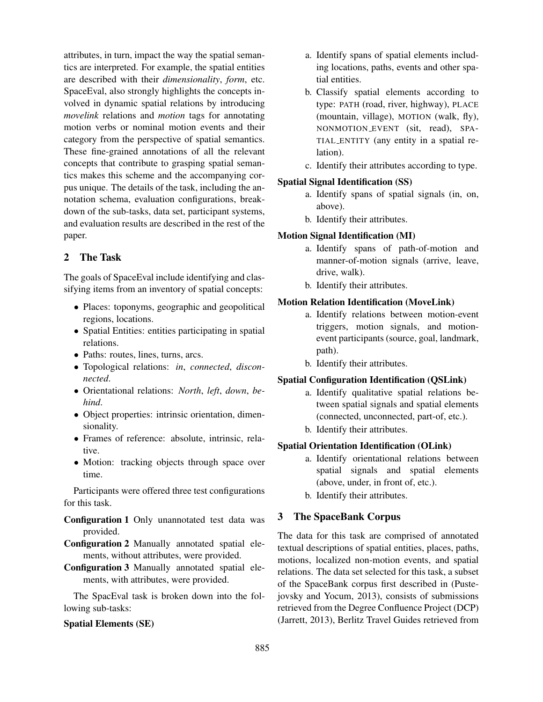attributes, in turn, impact the way the spatial semantics are interpreted. For example, the spatial entities are described with their *dimensionality*, *form*, etc. SpaceEval, also strongly highlights the concepts involved in dynamic spatial relations by introducing *movelink* relations and *motion* tags for annotating motion verbs or nominal motion events and their category from the perspective of spatial semantics. These fine-grained annotations of all the relevant concepts that contribute to grasping spatial semantics makes this scheme and the accompanying corpus unique. The details of the task, including the annotation schema, evaluation configurations, breakdown of the sub-tasks, data set, participant systems, and evaluation results are described in the rest of the paper.

# 2 The Task

The goals of SpaceEval include identifying and classifying items from an inventory of spatial concepts:

- Places: toponyms, geographic and geopolitical regions, locations.
- Spatial Entities: entities participating in spatial relations.
- Paths: routes, lines, turns, arcs.
- Topological relations: *in*, *connected*, *disconnected*.
- Orientational relations: *North*, *left*, *down*, *behind*.
- Object properties: intrinsic orientation, dimensionality.
- Frames of reference: absolute, intrinsic, relative.
- Motion: tracking objects through space over time.

Participants were offered three test configurations for this task.

Configuration 1 Only unannotated test data was provided.

Configuration 2 Manually annotated spatial elements, without attributes, were provided.

Configuration 3 Manually annotated spatial elements, with attributes, were provided.

The SpacEval task is broken down into the following sub-tasks:

## Spatial Elements (SE)

- a. Identify spans of spatial elements including locations, paths, events and other spatial entities.
- b. Classify spatial elements according to type: PATH (road, river, highway), PLACE (mountain, village), MOTION (walk, fly), NONMOTION EVENT (sit, read), SPA-TIAL ENTITY (any entity in a spatial relation).
- c. Identify their attributes according to type.

#### Spatial Signal Identification (SS)

- a. Identify spans of spatial signals (in, on, above).
- b. Identify their attributes.

## Motion Signal Identification (MI)

- a. Identify spans of path-of-motion and manner-of-motion signals (arrive, leave, drive, walk).
- b. Identify their attributes.

#### Motion Relation Identification (MoveLink)

- a. Identify relations between motion-event triggers, motion signals, and motionevent participants (source, goal, landmark, path).
- b. Identify their attributes.

## Spatial Configuration Identification (QSLink)

- a. Identify qualitative spatial relations between spatial signals and spatial elements (connected, unconnected, part-of, etc.).
- b. Identify their attributes.

## Spatial Orientation Identification (OLink)

- a. Identify orientational relations between spatial signals and spatial elements (above, under, in front of, etc.).
- b. Identify their attributes.

## 3 The SpaceBank Corpus

The data for this task are comprised of annotated textual descriptions of spatial entities, places, paths, motions, localized non-motion events, and spatial relations. The data set selected for this task, a subset of the SpaceBank corpus first described in (Pustejovsky and Yocum, 2013), consists of submissions retrieved from the Degree Confluence Project (DCP) (Jarrett, 2013), Berlitz Travel Guides retrieved from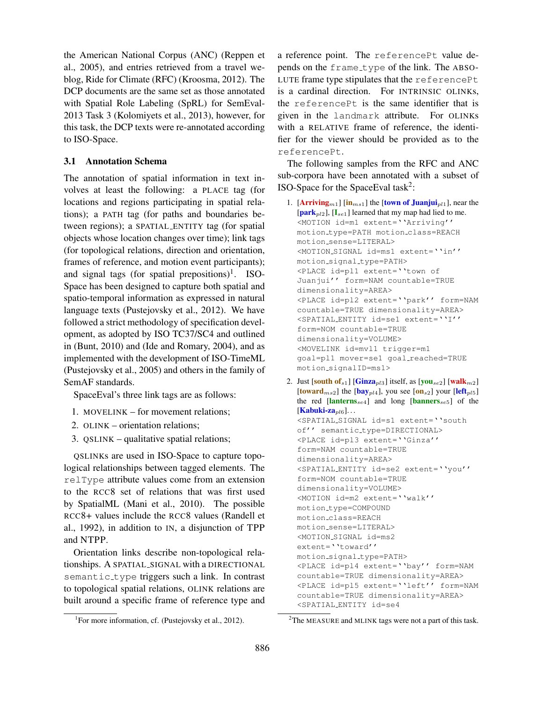the American National Corpus (ANC) (Reppen et al., 2005), and entries retrieved from a travel weblog, Ride for Climate (RFC) (Kroosma, 2012). The DCP documents are the same set as those annotated with Spatial Role Labeling (SpRL) for SemEval-2013 Task 3 (Kolomiyets et al., 2013), however, for this task, the DCP texts were re-annotated according to ISO-Space.

#### 3.1 Annotation Schema

The annotation of spatial information in text involves at least the following: a PLACE tag (for locations and regions participating in spatial relations); a PATH tag (for paths and boundaries between regions); a SPATIAL ENTITY tag (for spatial objects whose location changes over time); link tags (for topological relations, direction and orientation, frames of reference, and motion event participants); and signal tags (for spatial prepositions)<sup>1</sup>. ISO-Space has been designed to capture both spatial and spatio-temporal information as expressed in natural language texts (Pustejovsky et al., 2012). We have followed a strict methodology of specification development, as adopted by ISO TC37/SC4 and outlined in (Bunt, 2010) and (Ide and Romary, 2004), and as implemented with the development of ISO-TimeML (Pustejovsky et al., 2005) and others in the family of SemAF standards.

SpaceEval's three link tags are as follows:

- 1. MOVELINK for movement relations;
- 2. OLINK orientation relations;
- 3. QSLINK qualitative spatial relations;

QSLINKs are used in ISO-Space to capture topological relationships between tagged elements. The relType attribute values come from an extension to the RCC8 set of relations that was first used by SpatialML (Mani et al., 2010). The possible RCC8+ values include the RCC8 values (Randell et al., 1992), in addition to IN, a disjunction of TPP and NTPP.

Orientation links describe non-topological relationships. A SPATIAL SIGNAL with a DIRECTIONAL semantic type triggers such a link. In contrast to topological spatial relations, OLINK relations are built around a specific frame of reference type and a reference point. The referencePt value depends on the frame\_type of the link. The ABSO-LUTE frame type stipulates that the referencePt is a cardinal direction. For INTRINSIC OLINKs, the referencePt is the same identifier that is given in the landmark attribute. For OLINKs with a RELATIVE frame of reference, the identifier for the viewer should be provided as to the referencePt.

The following samples from the RFC and ANC sub-corpora have been annotated with a subset of ISO-Space for the SpaceEval task<sup>2</sup>:

- 1. [Arriving<sub>m1</sub>] [in<sub>ms1</sub>] the [town of Juanjui<sub>pl1</sub>], near the  $[\textbf{park}_{pl2}]$ ,  $[I_{se1}]$  learned that my map had lied to me. <MOTION id=m1 extent=''Arriving'' motion type=PATH motion class=REACH motion sense=LITERAL> <MOTION SIGNAL id=ms1 extent=''in'' motion signal type=PATH> <PLACE id=pl1 extent=''town of Juanjui'' form=NAM countable=TRUE dimensionality=AREA> <PLACE id=pl2 extent=''park'' form=NAM countable=TRUE dimensionality=AREA> <SPATIAL ENTITY id=se1 extent=''I'' form=NOM countable=TRUE dimensionality=VOLUME> <MOVELINK id=mvl1 trigger=m1 goal=pl1 mover=se1 goal reached=TRUE motion signalID=ms1>
- 2. Just  $\left[\text{south of}_{s1}\right]$   $\left[\text{Ginza}_{pl3}\right]$  itself, as  $\left[\text{you}_{se2}\right]$   $\left[\text{walk}_{m2}\right]$ [toward<sub>ms2</sub>] the [bay<sub>pl4</sub>], you see [on<sub>s2</sub>] your [left<sub>pl5</sub>] the red  $[lanterms_{se4}]$  and long  $[banners_{se5}]$  of the  $[Kabuki-za_{pl6}]...$ <SPATIAL SIGNAL id=s1 extent=''south of'' semantic type=DIRECTIONAL>

```
<PLACE id=pl3 extent=''Ginza''
form=NAM countable=TRUE
dimensionality=AREA>
<SPATIAL ENTITY id=se2 extent=''you''
form=NOM countable=TRUE
dimensionality=VOLUME>
<MOTION id=m2 extent=''walk''
motion type=COMPOUND
motion class=REACH
motion sense=LITERAL>
<MOTION SIGNAL id=ms2
extent=''toward''
motion signal type=PATH>
<PLACE id=pl4 extent=''bay'' form=NAM
countable=TRUE dimensionality=AREA>
<PLACE id=pl5 extent=''left'' form=NAM
countable=TRUE dimensionality=AREA>
<SPATIAL ENTITY id=se4
```
<sup>&</sup>lt;sup>1</sup>For more information, cf. (Pustejovsky et al., 2012).

 $2$ The MEASURE and MLINK tags were not a part of this task.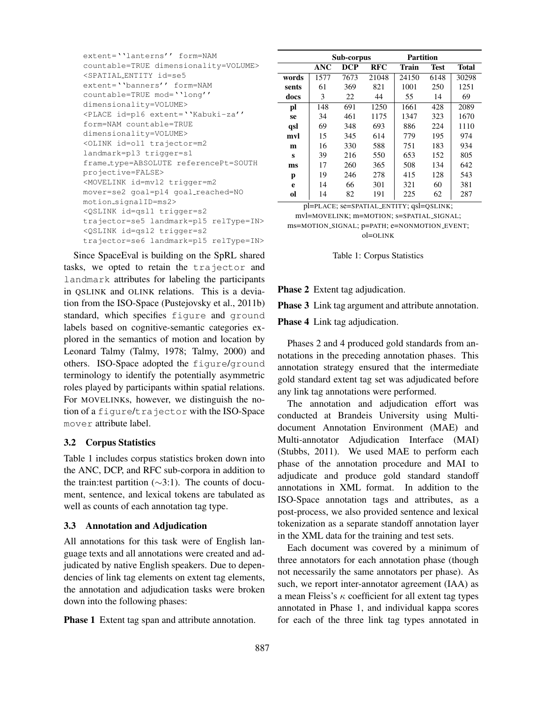| extent=''lanterns'' form=NAM                            |  |  |  |  |  |
|---------------------------------------------------------|--|--|--|--|--|
| countable=TRUE dimensionality=VOLUME>                   |  |  |  |  |  |
| <spatial_entity_id=se5< td=""></spatial_entity_id=se5<> |  |  |  |  |  |
| extent=''banners'' form=NAM                             |  |  |  |  |  |
| countable=TRUE mod=''long''                             |  |  |  |  |  |
| dimensionality=VOLUME>                                  |  |  |  |  |  |
| <PLACE id=pl6 extent="YKabuki-za''</td>                 |  |  |  |  |  |
| form=NAM countable=TRUE                                 |  |  |  |  |  |
| dimensionality=VOLUME>                                  |  |  |  |  |  |
| <olink id="ol1" trajector="m2&lt;/td"></olink>          |  |  |  |  |  |
| landmark=pl3 trigger=s1                                 |  |  |  |  |  |
| frame_type=ABSOLUTE referencePt=SOUTH                   |  |  |  |  |  |
| projective=FALSE>                                       |  |  |  |  |  |
| <movelink id="mvl2" trigger="m2&lt;/td"></movelink>     |  |  |  |  |  |
| mover=se2 qoal=pl4 qoal_reached=NO                      |  |  |  |  |  |
| motion_signalID=ms2>                                    |  |  |  |  |  |
| <qslink id="qsl1" trigger="s2&lt;/td"></qslink>         |  |  |  |  |  |
| trajector=se5 landmark=pl5 relType=IN>                  |  |  |  |  |  |
| <qslink id="qsl2" triqqer="s2&lt;/td"></qslink>         |  |  |  |  |  |
| trajector=se6 landmark=pl5 relType=IN>                  |  |  |  |  |  |

Since SpaceEval is building on the SpRL shared tasks, we opted to retain the trajector and landmark attributes for labeling the participants in QSLINK and OLINK relations. This is a deviation from the ISO-Space (Pustejovsky et al., 2011b) standard, which specifies figure and ground labels based on cognitive-semantic categories explored in the semantics of motion and location by Leonard Talmy (Talmy, 1978; Talmy, 2000) and others. ISO-Space adopted the figure/ground terminology to identify the potentially asymmetric roles played by participants within spatial relations. For MOVELINKs, however, we distinguish the notion of a figure/trajector with the ISO-Space mover attribute label.

## 3.2 Corpus Statistics

Table 1 includes corpus statistics broken down into the ANC, DCP, and RFC sub-corpora in addition to the train:test partition (∼3:1). The counts of document, sentence, and lexical tokens are tabulated as well as counts of each annotation tag type.

#### 3.3 Annotation and Adjudication

All annotations for this task were of English language texts and all annotations were created and adjudicated by native English speakers. Due to dependencies of link tag elements on extent tag elements, the annotation and adjudication tasks were broken down into the following phases:

**Phase 1** Extent tag span and attribute annotation.

|               | Sub-corpus |            |            | Partition    |             |              |
|---------------|------------|------------|------------|--------------|-------------|--------------|
|               | <b>ANC</b> | <b>DCP</b> | <b>RFC</b> | <b>Train</b> | <b>Test</b> | <b>Total</b> |
| words         | 1577       | 7673       | 21048      | 24150        | 6148        | 30298        |
| sents         | 61         | 369        | 821        | 1001         | 250         | 1251         |
| docs          | 3          | 22         | 44         | 55           | 14          | 69           |
| pl            | 148        | 691        | 1250       | 1661         | 428         | 2089         |
| se            | 34         | 461        | 1175       | 1347         | 323         | 1670         |
| qsl           | 69         | 348        | 693        | 886          | 224         | 1110         |
| mvl           | 15         | 345        | 614        | 779          | 195         | 974          |
| m             | 16         | 330        | 588        | 751          | 183         | 934          |
| S             | 39         | 216        | 550        | 653          | 152         | 805          |
| ms            | 17         | 260        | 365        | 508          | 134         | 642          |
| p             | 19         | 246        | 278        | 415          | 128         | 543          |
| e             | 14         | 66         | 301        | 321          | 60          | 381          |
| <sub>ol</sub> | 14         | 82         | 191        | 225          | 62          | 287          |

pl=PLACE; se=SPATIAL ENTITY; qsl=QSLINK; mvl=MOVELINK; m=MOTION; s=SPATIAL SIGNAL; ms=MOTION SIGNAL; p=PATH; e=NONMOTION EVENT; ol=OLINK

Table 1: Corpus Statistics

**Phase 2** Extent tag adjudication.

Phase 3 Link tag argument and attribute annotation.

Phase 4 Link tag adjudication.

Phases 2 and 4 produced gold standards from annotations in the preceding annotation phases. This annotation strategy ensured that the intermediate gold standard extent tag set was adjudicated before any link tag annotations were performed.

The annotation and adjudication effort was conducted at Brandeis University using Multidocument Annotation Environment (MAE) and Multi-annotator Adjudication Interface (MAI) (Stubbs, 2011). We used MAE to perform each phase of the annotation procedure and MAI to adjudicate and produce gold standard standoff annotations in XML format. In addition to the ISO-Space annotation tags and attributes, as a post-process, we also provided sentence and lexical tokenization as a separate standoff annotation layer in the XML data for the training and test sets.

Each document was covered by a minimum of three annotators for each annotation phase (though not necessarily the same annotators per phase). As such, we report inter-annotator agreement (IAA) as a mean Fleiss's  $\kappa$  coefficient for all extent tag types annotated in Phase 1, and individual kappa scores for each of the three link tag types annotated in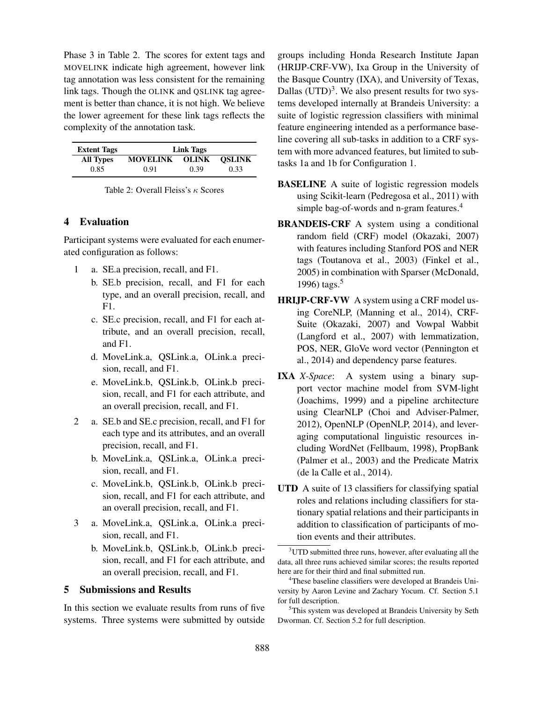Phase 3 in Table 2. The scores for extent tags and MOVELINK indicate high agreement, however link tag annotation was less consistent for the remaining link tags. Though the OLINK and QSLINK tag agreement is better than chance, it is not high. We believe the lower agreement for these link tags reflects the complexity of the annotation task.

| <b>Extent Tags</b> | Link Tags       |              |               |  |
|--------------------|-----------------|--------------|---------------|--|
| <b>All Types</b>   | <b>MOVELINK</b> | <b>OLINK</b> | <b>OSLINK</b> |  |
| 0.85               | 0.91            | 0.39         | 0.33          |  |

| Table 2: Overall Fleiss's $\kappa$ Scores |
|-------------------------------------------|
|-------------------------------------------|

## 4 Evaluation

Participant systems were evaluated for each enumerated configuration as follows:

- 1 a. SE.a precision, recall, and F1.
	- b. SE.b precision, recall, and F1 for each type, and an overall precision, recall, and F1.
	- c. SE.c precision, recall, and F1 for each attribute, and an overall precision, recall, and F1.
	- d. MoveLink.a, QSLink.a, OLink.a precision, recall, and F1.
	- e. MoveLink.b, QSLink.b, OLink.b precision, recall, and F1 for each attribute, and an overall precision, recall, and F1.
- 2 a. SE.b and SE.c precision, recall, and F1 for each type and its attributes, and an overall precision, recall, and F1.
	- b. MoveLink.a, QSLink.a, OLink.a precision, recall, and F1.
	- c. MoveLink.b, QSLink.b, OLink.b precision, recall, and F1 for each attribute, and an overall precision, recall, and F1.
- 3 a. MoveLink.a, QSLink.a, OLink.a precision, recall, and F1.
	- b. MoveLink.b, QSLink.b, OLink.b precision, recall, and F1 for each attribute, and an overall precision, recall, and F1.

## 5 Submissions and Results

In this section we evaluate results from runs of five systems. Three systems were submitted by outside

groups including Honda Research Institute Japan (HRIJP-CRF-VW), Ixa Group in the University of the Basque Country (IXA), and University of Texas, Dallas  $(UTD)^3$ . We also present results for two systems developed internally at Brandeis University: a suite of logistic regression classifiers with minimal feature engineering intended as a performance baseline covering all sub-tasks in addition to a CRF system with more advanced features, but limited to subtasks 1a and 1b for Configuration 1.

- BASELINE A suite of logistic regression models using Scikit-learn (Pedregosa et al., 2011) with simple bag-of-words and n-gram features.<sup>4</sup>
- BRANDEIS-CRF A system using a conditional random field (CRF) model (Okazaki, 2007) with features including Stanford POS and NER tags (Toutanova et al., 2003) (Finkel et al., 2005) in combination with Sparser (McDonald, 1996) tags. $5$
- HRIJP-CRF-VW A system using a CRF model using CoreNLP, (Manning et al., 2014), CRF-Suite (Okazaki, 2007) and Vowpal Wabbit (Langford et al., 2007) with lemmatization, POS, NER, GloVe word vector (Pennington et al., 2014) and dependency parse features.
- IXA *X-Space*: A system using a binary support vector machine model from SVM-light (Joachims, 1999) and a pipeline architecture using ClearNLP (Choi and Adviser-Palmer, 2012), OpenNLP (OpenNLP, 2014), and leveraging computational linguistic resources including WordNet (Fellbaum, 1998), PropBank (Palmer et al., 2003) and the Predicate Matrix (de la Calle et al., 2014).
- UTD A suite of 13 classifiers for classifying spatial roles and relations including classifiers for stationary spatial relations and their participants in addition to classification of participants of motion events and their attributes.

<sup>3</sup>UTD submitted three runs, however, after evaluating all the data, all three runs achieved similar scores; the results reported here are for their third and final submitted run.

<sup>4</sup>These baseline classifiers were developed at Brandeis University by Aaron Levine and Zachary Yocum. Cf. Section 5.1 for full description.

<sup>5</sup>This system was developed at Brandeis University by Seth Dworman. Cf. Section 5.2 for full description.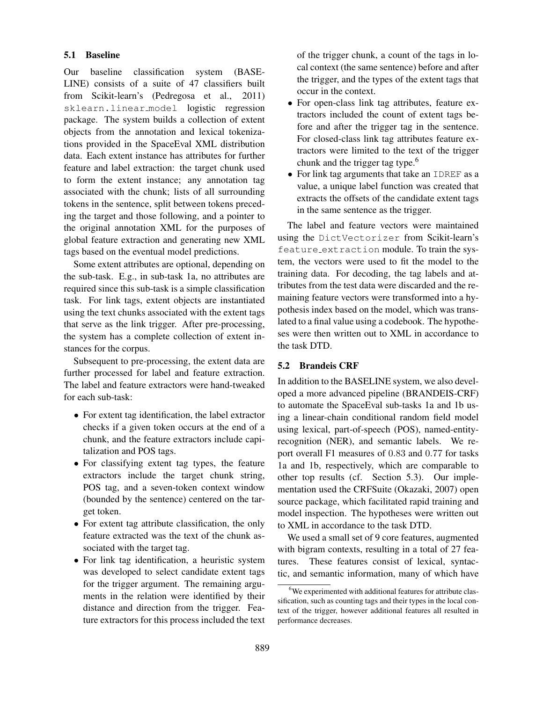#### 5.1 Baseline

Our baseline classification system (BASE-LINE) consists of a suite of 47 classifiers built from Scikit-learn's (Pedregosa et al., 2011) sklearn.linear model logistic regression package. The system builds a collection of extent objects from the annotation and lexical tokenizations provided in the SpaceEval XML distribution data. Each extent instance has attributes for further feature and label extraction: the target chunk used to form the extent instance; any annotation tag associated with the chunk; lists of all surrounding tokens in the sentence, split between tokens preceding the target and those following, and a pointer to the original annotation XML for the purposes of global feature extraction and generating new XML tags based on the eventual model predictions.

Some extent attributes are optional, depending on the sub-task. E.g., in sub-task 1a, no attributes are required since this sub-task is a simple classification task. For link tags, extent objects are instantiated using the text chunks associated with the extent tags that serve as the link trigger. After pre-processing, the system has a complete collection of extent instances for the corpus.

Subsequent to pre-processing, the extent data are further processed for label and feature extraction. The label and feature extractors were hand-tweaked for each sub-task:

- For extent tag identification, the label extractor checks if a given token occurs at the end of a chunk, and the feature extractors include capitalization and POS tags.
- For classifying extent tag types, the feature extractors include the target chunk string, POS tag, and a seven-token context window (bounded by the sentence) centered on the target token.
- For extent tag attribute classification, the only feature extracted was the text of the chunk associated with the target tag.
- For link tag identification, a heuristic system was developed to select candidate extent tags for the trigger argument. The remaining arguments in the relation were identified by their distance and direction from the trigger. Feature extractors for this process included the text

of the trigger chunk, a count of the tags in local context (the same sentence) before and after the trigger, and the types of the extent tags that occur in the context.

- For open-class link tag attributes, feature extractors included the count of extent tags before and after the trigger tag in the sentence. For closed-class link tag attributes feature extractors were limited to the text of the trigger chunk and the trigger tag type.<sup>6</sup>
- For link tag arguments that take an IDREF as a value, a unique label function was created that extracts the offsets of the candidate extent tags in the same sentence as the trigger.

The label and feature vectors were maintained using the DictVectorizer from Scikit-learn's feature extraction module. To train the system, the vectors were used to fit the model to the training data. For decoding, the tag labels and attributes from the test data were discarded and the remaining feature vectors were transformed into a hypothesis index based on the model, which was translated to a final value using a codebook. The hypotheses were then written out to XML in accordance to the task DTD.

## 5.2 Brandeis CRF

In addition to the BASELINE system, we also developed a more advanced pipeline (BRANDEIS-CRF) to automate the SpaceEval sub-tasks 1a and 1b using a linear-chain conditional random field model using lexical, part-of-speech (POS), named-entityrecognition (NER), and semantic labels. We report overall F1 measures of 0.83 and 0.77 for tasks 1a and 1b, respectively, which are comparable to other top results (cf. Section 5.3). Our implementation used the CRFSuite (Okazaki, 2007) open source package, which facilitated rapid training and model inspection. The hypotheses were written out to XML in accordance to the task DTD.

We used a small set of 9 core features, augmented with bigram contexts, resulting in a total of 27 features. These features consist of lexical, syntactic, and semantic information, many of which have

<sup>&</sup>lt;sup>6</sup>We experimented with additional features for attribute classification, such as counting tags and their types in the local context of the trigger, however additional features all resulted in performance decreases.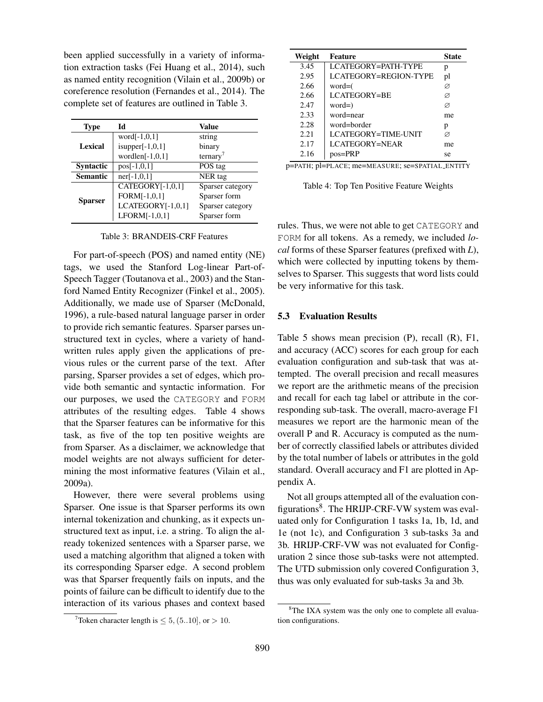been applied successfully in a variety of information extraction tasks (Fei Huang et al., 2014), such as named entity recognition (Vilain et al., 2009b) or coreference resolution (Fernandes et al., 2014). The complete set of features are outlined in Table 3.

| <b>Type</b>      | Id                 | Value                |
|------------------|--------------------|----------------------|
|                  | word $[-1,0,1]$    | string               |
| <b>Lexical</b>   | $is upper[-1,0,1]$ | binary               |
|                  | wordlen $[-1,0,1]$ | ternary <sup>7</sup> |
| <b>Syntactic</b> | $pos[-1,0,1]$      | POS tag              |
| <b>Semantic</b>  | $ner[-1,0,1]$      | NER tag              |
|                  | CATEGORY[-1,0,1]   | Sparser category     |
|                  | FORM[-1,0,1]       | Sparser form         |
| <b>Sparser</b>   | LCATEGORY[-1,0,1]  | Sparser category     |
|                  | $LFORM[-1,0,1]$    | Sparser form         |

Table 3: BRANDEIS-CRF Features

For part-of-speech (POS) and named entity (NE) tags, we used the Stanford Log-linear Part-of-Speech Tagger (Toutanova et al., 2003) and the Stanford Named Entity Recognizer (Finkel et al., 2005). Additionally, we made use of Sparser (McDonald, 1996), a rule-based natural language parser in order to provide rich semantic features. Sparser parses unstructured text in cycles, where a variety of handwritten rules apply given the applications of previous rules or the current parse of the text. After parsing, Sparser provides a set of edges, which provide both semantic and syntactic information. For our purposes, we used the CATEGORY and FORM attributes of the resulting edges. Table 4 shows that the Sparser features can be informative for this task, as five of the top ten positive weights are from Sparser. As a disclaimer, we acknowledge that model weights are not always sufficient for determining the most informative features (Vilain et al., 2009a).

However, there were several problems using Sparser. One issue is that Sparser performs its own internal tokenization and chunking, as it expects unstructured text as input, i.e. a string. To align the already tokenized sentences with a Sparser parse, we used a matching algorithm that aligned a token with its corresponding Sparser edge. A second problem was that Sparser frequently fails on inputs, and the points of failure can be difficult to identify due to the interaction of its various phases and context based

| Weight | Feature               | <b>State</b> |
|--------|-----------------------|--------------|
| 3.45   | LCATEGORY=PATH-TYPE   | р            |
| 2.95   | LCATEGORY=REGION-TYPE | pl           |
| 2.66   | $word=($              | Ø            |
| 2.66   | LCATEGORY=BE          | Ø            |
| 2.47   | $word=)$              | Ø            |
| 2.33   | word=near             | me           |
| 2.28   | word=border           | р            |
| 2.21   | LCATEGORY=TIME-UNIT   | Ø            |
| 2.17   | LCATEGORY=NEAR        | me           |
| 2.16   | $pos = PRP$           | se           |

p=PATH; pl=PLACE; me=MEASURE; se=SPATIAL ENTITY

Table 4: Top Ten Positive Feature Weights

rules. Thus, we were not able to get CATEGORY and FORM for all tokens. As a remedy, we included *local* forms of these Sparser features (prefixed with *L*), which were collected by inputting tokens by themselves to Sparser. This suggests that word lists could be very informative for this task.

#### 5.3 Evaluation Results

Table 5 shows mean precision (P), recall (R), F1, and accuracy (ACC) scores for each group for each evaluation configuration and sub-task that was attempted. The overall precision and recall measures we report are the arithmetic means of the precision and recall for each tag label or attribute in the corresponding sub-task. The overall, macro-average F1 measures we report are the harmonic mean of the overall P and R. Accuracy is computed as the number of correctly classified labels or attributes divided by the total number of labels or attributes in the gold standard. Overall accuracy and F1 are plotted in Appendix A.

Not all groups attempted all of the evaluation configurations<sup>8</sup>. The HRIJP-CRF-VW system was evaluated only for Configuration 1 tasks 1a, 1b, 1d, and 1e (not 1c), and Configuration 3 sub-tasks 3a and 3b. HRIJP-CRF-VW was not evaluated for Configuration 2 since those sub-tasks were not attempted. The UTD submission only covered Configuration 3, thus was only evaluated for sub-tasks 3a and 3b.

<sup>&</sup>lt;sup>7</sup>Token character length is  $\leq 5$ , (5..10), or  $> 10$ .

<sup>&</sup>lt;sup>8</sup>The IXA system was the only one to complete all evaluation configurations.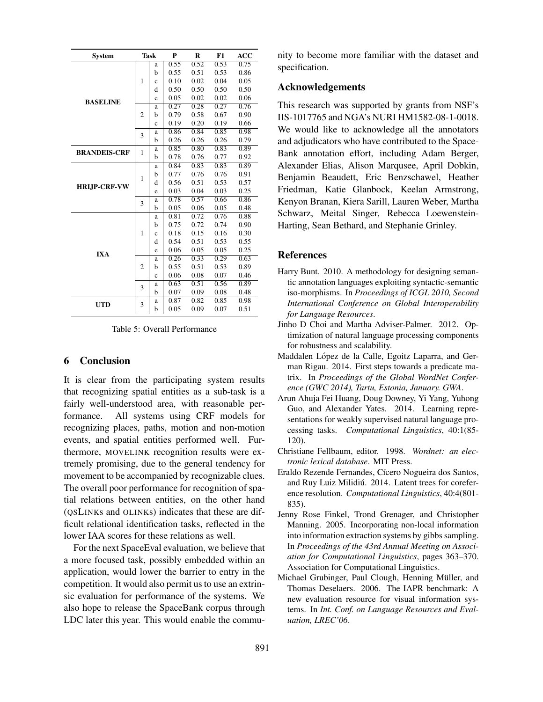| <b>System</b>       |                | <b>Task</b> | P    | R    | F1   | <b>ACC</b> |
|---------------------|----------------|-------------|------|------|------|------------|
|                     |                | a           | 0.55 | 0.52 | 0.53 | 0.75       |
|                     |                | b           | 0.55 | 0.51 | 0.53 | 0.86       |
|                     | 1              | $\mathbf c$ | 0.10 | 0.02 | 0.04 | 0.05       |
|                     |                | d           | 0.50 | 0.50 | 0.50 | 0.50       |
| <b>BASELINE</b>     |                | e           | 0.05 | 0.02 | 0.02 | 0.06       |
|                     |                | a           | 0.27 | 0.28 | 0.27 | 0.76       |
|                     | $\overline{2}$ | b           | 0.79 | 0.58 | 0.67 | 0.90       |
|                     |                | $\mathbf c$ | 0.19 | 0.20 | 0.19 | 0.66       |
|                     | 3              | a           | 0.86 | 0.84 | 0.85 | 0.98       |
|                     |                | b           | 0.26 | 0.26 | 0.26 | 0.79       |
| <b>BRANDEIS-CRF</b> |                | a           | 0.85 | 0.80 | 0.83 | 0.89       |
|                     | $\mathbf{1}$   | b           | 0.78 | 0.76 | 0.77 | 0.92       |
|                     |                | a           | 0.84 | 0.83 | 0.83 | 0.89       |
|                     | $\mathbf{1}$   | b           | 0.77 | 0.76 | 0.76 | 0.91       |
| <b>HRLIP-CRF-VW</b> |                | d           | 0.56 | 0.51 | 0.53 | 0.57       |
|                     |                | e           | 0.03 | 0.04 | 0.03 | 0.25       |
|                     | 3              | a           | 0.78 | 0.57 | 0.66 | 0.86       |
|                     |                | b           | 0.05 | 0.06 | 0.05 | 0.48       |
|                     |                | a           | 0.81 | 0.72 | 0.76 | 0.88       |
|                     |                | b           | 0.75 | 0.72 | 0.74 | 0.90       |
|                     | $\mathbf{1}$   | $\mathbf c$ | 0.18 | 0.15 | 0.16 | 0.30       |
|                     |                | d           | 0.54 | 0.51 | 0.53 | 0.55       |
| <b>IXA</b>          |                | e           | 0.06 | 0.05 | 0.05 | 0.25       |
|                     |                | a           | 0.26 | 0.33 | 0.29 | 0.63       |
|                     | $\overline{2}$ | b           | 0.55 | 0.51 | 0.53 | 0.89       |
|                     |                | $\ddot{c}$  | 0.06 | 0.08 | 0.07 | 0.46       |
|                     | 3              | a           | 0.63 | 0.51 | 0.56 | 0.89       |
|                     |                | b           | 0.07 | 0.09 | 0.08 | 0.48       |
| <b>UTD</b>          | 3              | a           | 0.87 | 0.82 | 0.85 | 0.98       |
|                     |                | b           | 0.05 | 0.09 | 0.07 | 0.51       |

Table 5: Overall Performance

## 6 Conclusion

It is clear from the participating system results that recognizing spatial entities as a sub-task is a fairly well-understood area, with reasonable performance. All systems using CRF models for recognizing places, paths, motion and non-motion events, and spatial entities performed well. Furthermore, MOVELINK recognition results were extremely promising, due to the general tendency for movement to be accompanied by recognizable clues. The overall poor performance for recognition of spatial relations between entities, on the other hand (QSLINKs and OLINKs) indicates that these are difficult relational identification tasks, reflected in the lower IAA scores for these relations as well.

For the next SpaceEval evaluation, we believe that a more focused task, possibly embedded within an application, would lower the barrier to entry in the competition. It would also permit us to use an extrinsic evaluation for performance of the systems. We also hope to release the SpaceBank corpus through LDC later this year. This would enable the community to become more familiar with the dataset and specification.

## Acknowledgements

This research was supported by grants from NSF's IIS-1017765 and NGA's NURI HM1582-08-1-0018. We would like to acknowledge all the annotators and adjudicators who have contributed to the Space-Bank annotation effort, including Adam Berger, Alexander Elias, Alison Marqusee, April Dobkin, Benjamin Beaudett, Eric Benzschawel, Heather Friedman, Katie Glanbock, Keelan Armstrong, Kenyon Branan, Kiera Sarill, Lauren Weber, Martha Schwarz, Meital Singer, Rebecca Loewenstein-Harting, Sean Bethard, and Stephanie Grinley.

#### **References**

- Harry Bunt. 2010. A methodology for designing semantic annotation languages exploiting syntactic-semantic iso-morphisms. In *Proceedings of ICGL 2010, Second International Conference on Global Interoperability for Language Resources*.
- Jinho D Choi and Martha Adviser-Palmer. 2012. Optimization of natural language processing components for robustness and scalability.
- Maddalen López de la Calle, Egoitz Laparra, and German Rigau. 2014. First steps towards a predicate matrix. In *Proceedings of the Global WordNet Conference (GWC 2014), Tartu, Estonia, January. GWA*.
- Arun Ahuja Fei Huang, Doug Downey, Yi Yang, Yuhong Guo, and Alexander Yates. 2014. Learning representations for weakly supervised natural language processing tasks. *Computational Linguistics*, 40:1(85- 120).
- Christiane Fellbaum, editor. 1998. *Wordnet: an electronic lexical database*. MIT Press.
- Eraldo Rezende Fernandes, Cícero Nogueira dos Santos, and Ruy Luiz Milidiú. 2014. Latent trees for coreference resolution. *Computational Linguistics*, 40:4(801- 835).
- Jenny Rose Finkel, Trond Grenager, and Christopher Manning. 2005. Incorporating non-local information into information extraction systems by gibbs sampling. In *Proceedings of the 43rd Annual Meeting on Association for Computational Linguistics*, pages 363–370. Association for Computational Linguistics.
- Michael Grubinger, Paul Clough, Henning Müller, and Thomas Deselaers. 2006. The IAPR benchmark: A new evaluation resource for visual information systems. In *Int. Conf. on Language Resources and Evaluation, LREC'06*.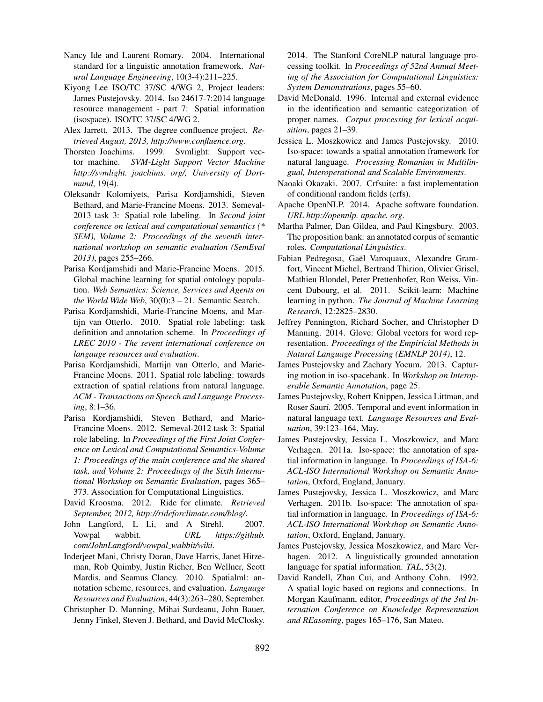- Nancy Ide and Laurent Romary. 2004. International standard for a linguistic annotation framework. *Natural Language Engineering*, 10(3-4):211–225.
- Kiyong Lee ISO/TC 37/SC 4/WG 2, Project leaders: James Pustejovsky. 2014. Iso 24617-7:2014 language resource management - part 7: Spatial information (isospace). ISO/TC 37/SC 4/WG 2.
- Alex Jarrett. 2013. The degree confluence project. *Retrieved August, 2013, http://www.confluence.org*.
- Thorsten Joachims. 1999. Svmlight: Support vector machine. *SVM-Light Support Vector Machine http://svmlight. joachims. org/, University of Dortmund*, 19(4).
- Oleksandr Kolomiyets, Parisa Kordjamshidi, Steven Bethard, and Marie-Francine Moens. 2013. Semeval-2013 task 3: Spatial role labeling. In *Second joint conference on lexical and computational semantics (\* SEM), Volume 2: Proceedings of the seventh international workshop on semantic evaluation (SemEval 2013)*, pages 255–266.
- Parisa Kordjamshidi and Marie-Francine Moens. 2015. Global machine learning for spatial ontology population. *Web Semantics: Science, Services and Agents on the World Wide Web*, 30(0):3 – 21. Semantic Search.
- Parisa Kordjamshidi, Marie-Francine Moens, and Martijn van Otterlo. 2010. Spatial role labeling: task definition and annotation scheme. In *Proceedings of LREC 2010 - The sevent international conference on langauge resources and evaluation*.
- Parisa Kordjamshidi, Martijn van Otterlo, and Marie-Francine Moens. 2011. Spatial role labeling: towards extraction of spatial relations from natural language. *ACM - Transactions on Speech and Language Processing*, 8:1–36.
- Parisa Kordjamshidi, Steven Bethard, and Marie-Francine Moens. 2012. Semeval-2012 task 3: Spatial role labeling. In *Proceedings of the First Joint Conference on Lexical and Computational Semantics-Volume 1: Proceedings of the main conference and the shared task, and Volume 2: Proceedings of the Sixth International Workshop on Semantic Evaluation*, pages 365– 373. Association for Computational Linguistics.
- David Kroosma. 2012. Ride for climate. *Retrieved September, 2012, http://rideforclimate.com/blog/*.
- John Langford, L Li, and A Strehl. 2007. Vowpal wabbit. *URL https://github. com/JohnLangford/vowpal wabbit/wiki*.
- Inderjeet Mani, Christy Doran, Dave Harris, Janet Hitzeman, Rob Quimby, Justin Richer, Ben Wellner, Scott Mardis, and Seamus Clancy. 2010. Spatialml: annotation scheme, resources, and evaluation. *Language Resources and Evaluation*, 44(3):263–280, September.
- Christopher D. Manning, Mihai Surdeanu, John Bauer, Jenny Finkel, Steven J. Bethard, and David McClosky.

2014. The Stanford CoreNLP natural language processing toolkit. In *Proceedings of 52nd Annual Meeting of the Association for Computational Linguistics: System Demonstrations*, pages 55–60.

- David McDonald. 1996. Internal and external evidence in the identification and semantic categorization of proper names. *Corpus processing for lexical acquisition*, pages 21–39.
- Jessica L. Moszkowicz and James Pustejovsky. 2010. Iso-space: towards a spatial annotation framework for natural language. *Processing Romanian in Multilingual, Interoperational and Scalable Environments*.
- Naoaki Okazaki. 2007. Crfsuite: a fast implementation of conditional random fields (crfs).
- Apache OpenNLP. 2014. Apache software foundation. *URL http://opennlp. apache. org*.
- Martha Palmer, Dan Gildea, and Paul Kingsbury. 2003. The proposition bank: an annotated corpus of semantic roles. *Computational Linguistics*.
- Fabian Pedregosa, Gaël Varoquaux, Alexandre Gramfort, Vincent Michel, Bertrand Thirion, Olivier Grisel, Mathieu Blondel, Peter Prettenhofer, Ron Weiss, Vincent Dubourg, et al. 2011. Scikit-learn: Machine learning in python. *The Journal of Machine Learning Research*, 12:2825–2830.
- Jeffrey Pennington, Richard Socher, and Christopher D Manning. 2014. Glove: Global vectors for word representation. *Proceedings of the Empiricial Methods in Natural Language Processing (EMNLP 2014)*, 12.
- James Pustejovsky and Zachary Yocum. 2013. Capturing motion in iso-spacebank. In *Workshop on Interoperable Semantic Annotation*, page 25.
- James Pustejovsky, Robert Knippen, Jessica Littman, and Roser Saurí. 2005. Temporal and event information in natural language text. *Language Resources and Evaluation*, 39:123–164, May.
- James Pustejovsky, Jessica L. Moszkowicz, and Marc Verhagen. 2011a. Iso-space: the annotation of spatial information in language. In *Proceedings of ISA-6: ACL-ISO International Workshop on Semantic Annotation*, Oxford, England, January.
- James Pustejovsky, Jessica L. Moszkowicz, and Marc Verhagen. 2011b. Iso-space: The annotation of spatial information in language. In *Proceedings of ISA-6: ACL-ISO International Workshop on Semantic Annotation*, Oxford, England, January.
- James Pustejovsky, Jessica Moszkowicz, and Marc Verhagen. 2012. A linguistically grounded annotation language for spatial information. *TAL*, 53(2).
- David Randell, Zhan Cui, and Anthony Cohn. 1992. A spatial logic based on regions and connections. In Morgan Kaufmann, editor, *Proceedings of the 3rd Internation Conference on Knowledge Representation and REasoning*, pages 165–176, San Mateo.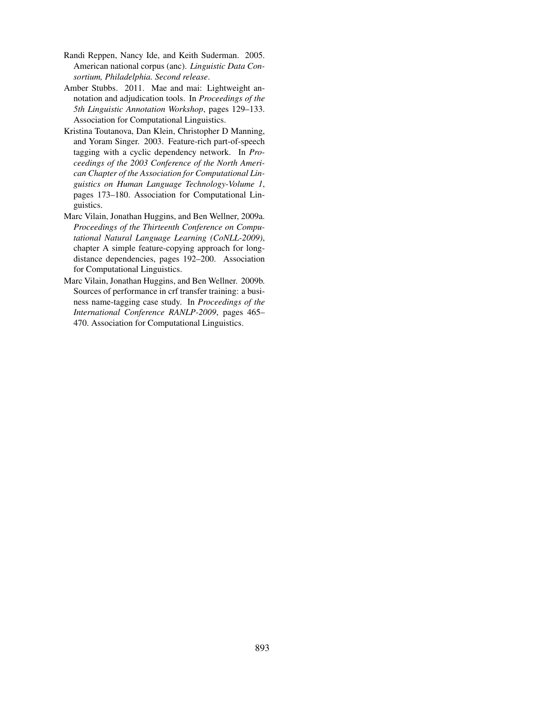- Randi Reppen, Nancy Ide, and Keith Suderman. 2005. American national corpus (anc). *Linguistic Data Consortium, Philadelphia. Second release*.
- Amber Stubbs. 2011. Mae and mai: Lightweight annotation and adjudication tools. In *Proceedings of the 5th Linguistic Annotation Workshop*, pages 129–133. Association for Computational Linguistics.
- Kristina Toutanova, Dan Klein, Christopher D Manning, and Yoram Singer. 2003. Feature-rich part-of-speech tagging with a cyclic dependency network. In *Proceedings of the 2003 Conference of the North American Chapter of the Association for Computational Linguistics on Human Language Technology-Volume 1*, pages 173–180. Association for Computational Linguistics.
- Marc Vilain, Jonathan Huggins, and Ben Wellner, 2009a. *Proceedings of the Thirteenth Conference on Computational Natural Language Learning (CoNLL-2009)*, chapter A simple feature-copying approach for longdistance dependencies, pages 192–200. Association for Computational Linguistics.
- Marc Vilain, Jonathan Huggins, and Ben Wellner. 2009b. Sources of performance in crf transfer training: a business name-tagging case study. In *Proceedings of the International Conference RANLP-2009*, pages 465– 470. Association for Computational Linguistics.